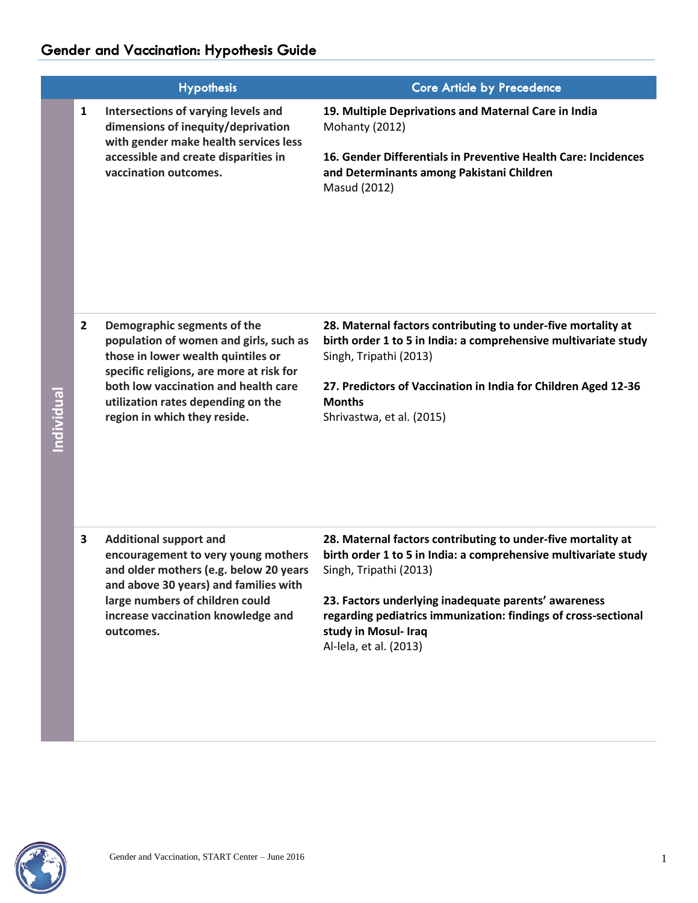|            |                | <b>Hypothesis</b>                                                                                                                                                                                                                                                     | <b>Core Article by Precedence</b>                                                                                                                                                                                                                                                                                                     |
|------------|----------------|-----------------------------------------------------------------------------------------------------------------------------------------------------------------------------------------------------------------------------------------------------------------------|---------------------------------------------------------------------------------------------------------------------------------------------------------------------------------------------------------------------------------------------------------------------------------------------------------------------------------------|
| Individual | 1              | Intersections of varying levels and<br>dimensions of inequity/deprivation<br>with gender make health services less<br>accessible and create disparities in<br>vaccination outcomes.                                                                                   | 19. Multiple Deprivations and Maternal Care in India<br>Mohanty (2012)<br>16. Gender Differentials in Preventive Health Care: Incidences<br>and Determinants among Pakistani Children<br>Masud (2012)                                                                                                                                 |
|            | $\overline{2}$ | Demographic segments of the<br>population of women and girls, such as<br>those in lower wealth quintiles or<br>specific religions, are more at risk for<br>both low vaccination and health care<br>utilization rates depending on the<br>region in which they reside. | 28. Maternal factors contributing to under-five mortality at<br>birth order 1 to 5 in India: a comprehensive multivariate study<br>Singh, Tripathi (2013)<br>27. Predictors of Vaccination in India for Children Aged 12-36<br><b>Months</b><br>Shrivastwa, et al. (2015)                                                             |
|            | 3              | <b>Additional support and</b><br>encouragement to very young mothers<br>and older mothers (e.g. below 20 years<br>and above 30 years) and families with<br>large numbers of children could<br>increase vaccination knowledge and<br>outcomes.                         | 28. Maternal factors contributing to under-five mortality at<br>birth order 1 to 5 in India: a comprehensive multivariate study<br>Singh, Tripathi (2013)<br>23. Factors underlying inadequate parents' awareness<br>regarding pediatrics immunization: findings of cross-sectional<br>study in Mosul- Iraq<br>Al-lela, et al. (2013) |

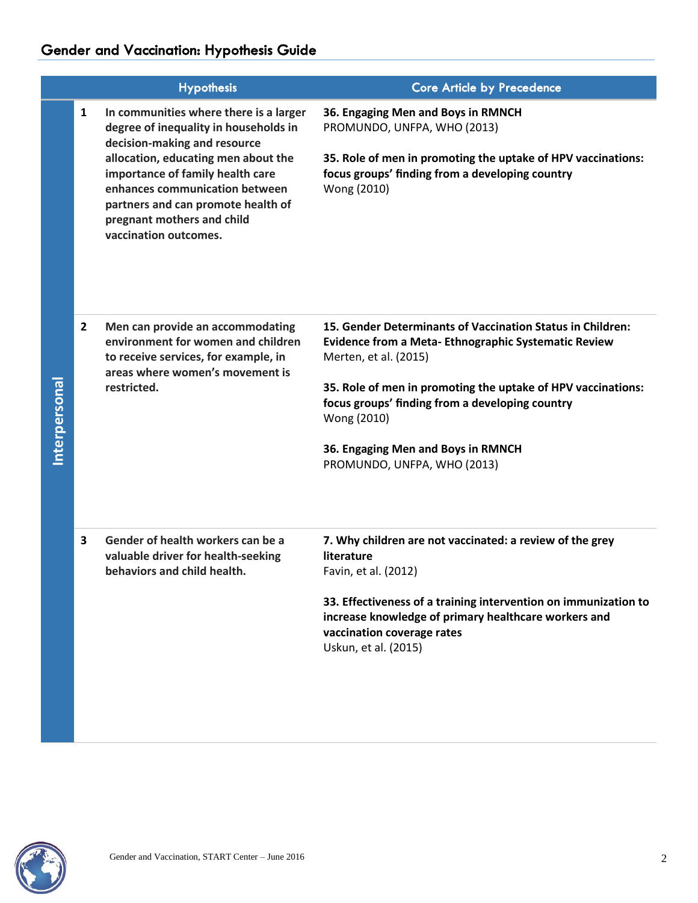Ī

|               |                | <b>Hypothesis</b>                                                                                                                                                                                                                                                                                                         | <b>Core Article by Precedence</b>                                                                                                                                                                                                                                                                                                                 |
|---------------|----------------|---------------------------------------------------------------------------------------------------------------------------------------------------------------------------------------------------------------------------------------------------------------------------------------------------------------------------|---------------------------------------------------------------------------------------------------------------------------------------------------------------------------------------------------------------------------------------------------------------------------------------------------------------------------------------------------|
|               | $\mathbf{1}$   | In communities where there is a larger<br>degree of inequality in households in<br>decision-making and resource<br>allocation, educating men about the<br>importance of family health care<br>enhances communication between<br>partners and can promote health of<br>pregnant mothers and child<br>vaccination outcomes. | 36. Engaging Men and Boys in RMNCH<br>PROMUNDO, UNFPA, WHO (2013)<br>35. Role of men in promoting the uptake of HPV vaccinations:<br>focus groups' finding from a developing country<br>Wong (2010)                                                                                                                                               |
| Interpersonal | $\overline{2}$ | Men can provide an accommodating<br>environment for women and children<br>to receive services, for example, in<br>areas where women's movement is<br>restricted.                                                                                                                                                          | 15. Gender Determinants of Vaccination Status in Children:<br>Evidence from a Meta-Ethnographic Systematic Review<br>Merten, et al. (2015)<br>35. Role of men in promoting the uptake of HPV vaccinations:<br>focus groups' finding from a developing country<br>Wong (2010)<br>36. Engaging Men and Boys in RMNCH<br>PROMUNDO, UNFPA, WHO (2013) |
|               | 3              | Gender of health workers can be a<br>valuable driver for health-seeking<br>behaviors and child health.                                                                                                                                                                                                                    | 7. Why children are not vaccinated: a review of the grey<br>literature<br>Favin, et al. (2012)<br>33. Effectiveness of a training intervention on immunization to<br>increase knowledge of primary healthcare workers and<br>vaccination coverage rates<br>Uskun, et al. (2015)                                                                   |

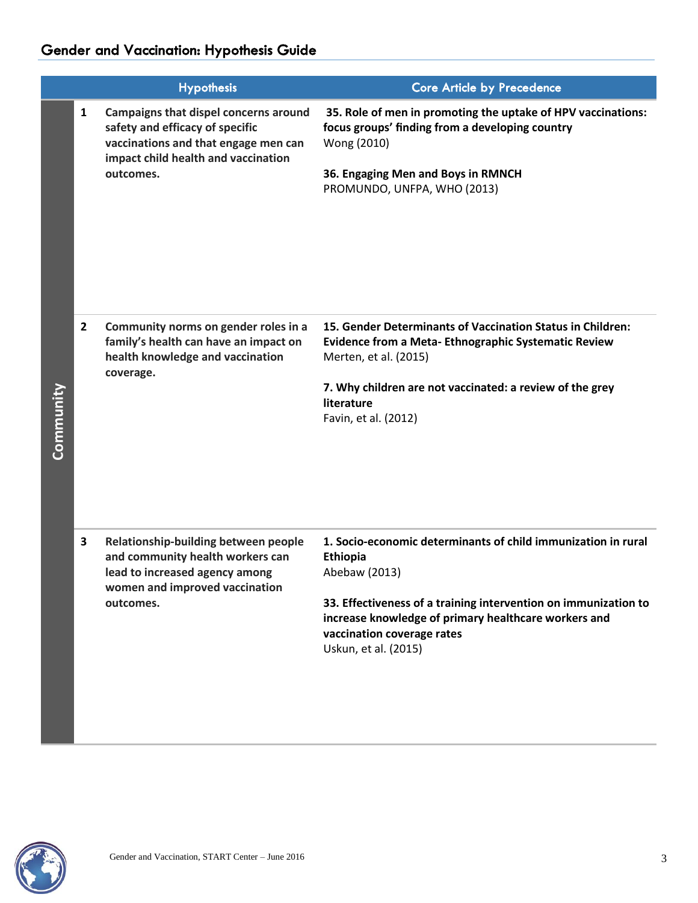Ī

|           |                | <b>Hypothesis</b>                                                                                                                                                    | <b>Core Article by Precedence</b>                                                                                                                                                                                                                                           |
|-----------|----------------|----------------------------------------------------------------------------------------------------------------------------------------------------------------------|-----------------------------------------------------------------------------------------------------------------------------------------------------------------------------------------------------------------------------------------------------------------------------|
|           | 1              | Campaigns that dispel concerns around<br>safety and efficacy of specific<br>vaccinations and that engage men can<br>impact child health and vaccination<br>outcomes. | 35. Role of men in promoting the uptake of HPV vaccinations:<br>focus groups' finding from a developing country<br>Wong (2010)<br>36. Engaging Men and Boys in RMNCH<br>PROMUNDO, UNFPA, WHO (2013)                                                                         |
| Community | $\overline{2}$ | Community norms on gender roles in a<br>family's health can have an impact on<br>health knowledge and vaccination<br>coverage.                                       | 15. Gender Determinants of Vaccination Status in Children:<br>Evidence from a Meta-Ethnographic Systematic Review<br>Merten, et al. (2015)<br>7. Why children are not vaccinated: a review of the grey<br>literature<br>Favin, et al. (2012)                                |
|           | 3              | Relationship-building between people<br>and community health workers can<br>lead to increased agency among<br>women and improved vaccination<br>outcomes.            | 1. Socio-economic determinants of child immunization in rural<br>Ethiopia<br>Abebaw (2013)<br>33. Effectiveness of a training intervention on immunization to<br>increase knowledge of primary healthcare workers and<br>vaccination coverage rates<br>Uskun, et al. (2015) |

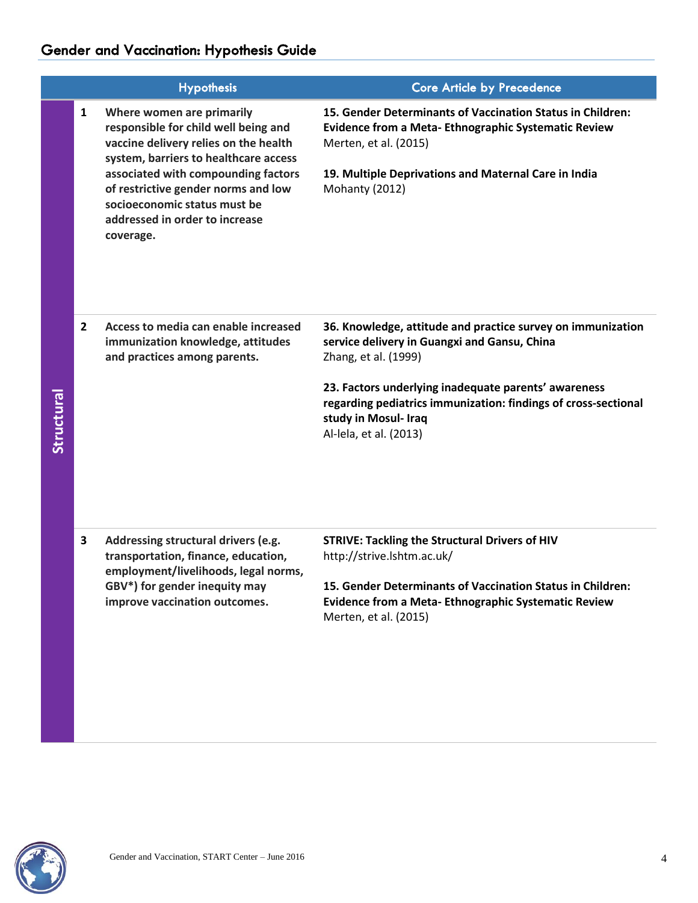Ī

|            |                | <b>Hypothesis</b>                                                                                                                                                                                                                                                                                                | <b>Core Article by Precedence</b>                                                                                                                                                                                                                                                                               |
|------------|----------------|------------------------------------------------------------------------------------------------------------------------------------------------------------------------------------------------------------------------------------------------------------------------------------------------------------------|-----------------------------------------------------------------------------------------------------------------------------------------------------------------------------------------------------------------------------------------------------------------------------------------------------------------|
|            | $\mathbf{1}$   | Where women are primarily<br>responsible for child well being and<br>vaccine delivery relies on the health<br>system, barriers to healthcare access<br>associated with compounding factors<br>of restrictive gender norms and low<br>socioeconomic status must be<br>addressed in order to increase<br>coverage. | 15. Gender Determinants of Vaccination Status in Children:<br>Evidence from a Meta-Ethnographic Systematic Review<br>Merten, et al. (2015)<br>19. Multiple Deprivations and Maternal Care in India<br>Mohanty (2012)                                                                                            |
| Structural | $\overline{2}$ | Access to media can enable increased<br>immunization knowledge, attitudes<br>and practices among parents.                                                                                                                                                                                                        | 36. Knowledge, attitude and practice survey on immunization<br>service delivery in Guangxi and Gansu, China<br>Zhang, et al. (1999)<br>23. Factors underlying inadequate parents' awareness<br>regarding pediatrics immunization: findings of cross-sectional<br>study in Mosul- Iraq<br>Al-lela, et al. (2013) |
|            | 3              | Addressing structural drivers (e.g.<br>transportation, finance, education,<br>employment/livelihoods, legal norms,<br>GBV*) for gender inequity may<br>improve vaccination outcomes.                                                                                                                             | <b>STRIVE: Tackling the Structural Drivers of HIV</b><br>http://strive.lshtm.ac.uk/<br>15. Gender Determinants of Vaccination Status in Children:<br>Evidence from a Meta-Ethnographic Systematic Review<br>Merten, et al. (2015)                                                                               |

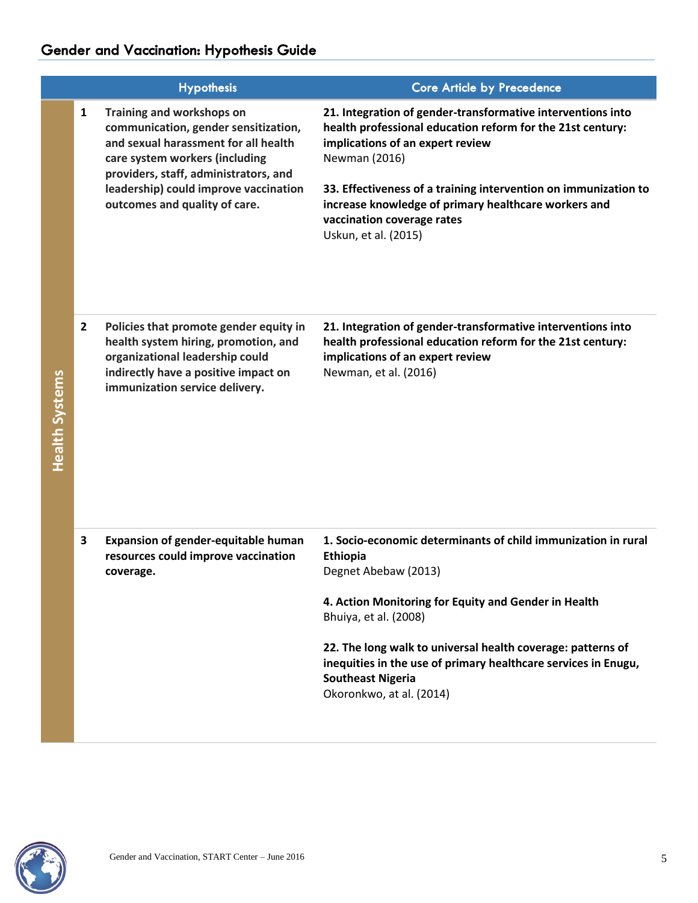|                       |                | <b>Hypothesis</b>                                                                                                                                                                                                                                              | <b>Core Article by Precedence</b>                                                                                                                                                                                                                                                                                                                                           |
|-----------------------|----------------|----------------------------------------------------------------------------------------------------------------------------------------------------------------------------------------------------------------------------------------------------------------|-----------------------------------------------------------------------------------------------------------------------------------------------------------------------------------------------------------------------------------------------------------------------------------------------------------------------------------------------------------------------------|
|                       | $\mathbf{1}$   | Training and workshops on<br>communication, gender sensitization,<br>and sexual harassment for all health<br>care system workers (including<br>providers, staff, administrators, and<br>leadership) could improve vaccination<br>outcomes and quality of care. | 21. Integration of gender-transformative interventions into<br>health professional education reform for the 21st century:<br>implications of an expert review<br>Newman (2016)<br>33. Effectiveness of a training intervention on immunization to<br>increase knowledge of primary healthcare workers and<br>vaccination coverage rates<br>Uskun, et al. (2015)             |
| <b>Health Systems</b> | $\overline{2}$ | Policies that promote gender equity in<br>health system hiring, promotion, and<br>organizational leadership could<br>indirectly have a positive impact on<br>immunization service delivery.                                                                    | 21. Integration of gender-transformative interventions into<br>health professional education reform for the 21st century:<br>implications of an expert review<br>Newman, et al. (2016)                                                                                                                                                                                      |
|                       | 3              | Expansion of gender-equitable human<br>resources could improve vaccination<br>coverage.                                                                                                                                                                        | 1. Socio-economic determinants of child immunization in rural<br>Ethiopia<br>Degnet Abebaw (2013)<br>4. Action Monitoring for Equity and Gender in Health<br>Bhuiya, et al. (2008)<br>22. The long walk to universal health coverage: patterns of<br>inequities in the use of primary healthcare services in Enugu,<br><b>Southeast Nigeria</b><br>Okoronkwo, at al. (2014) |

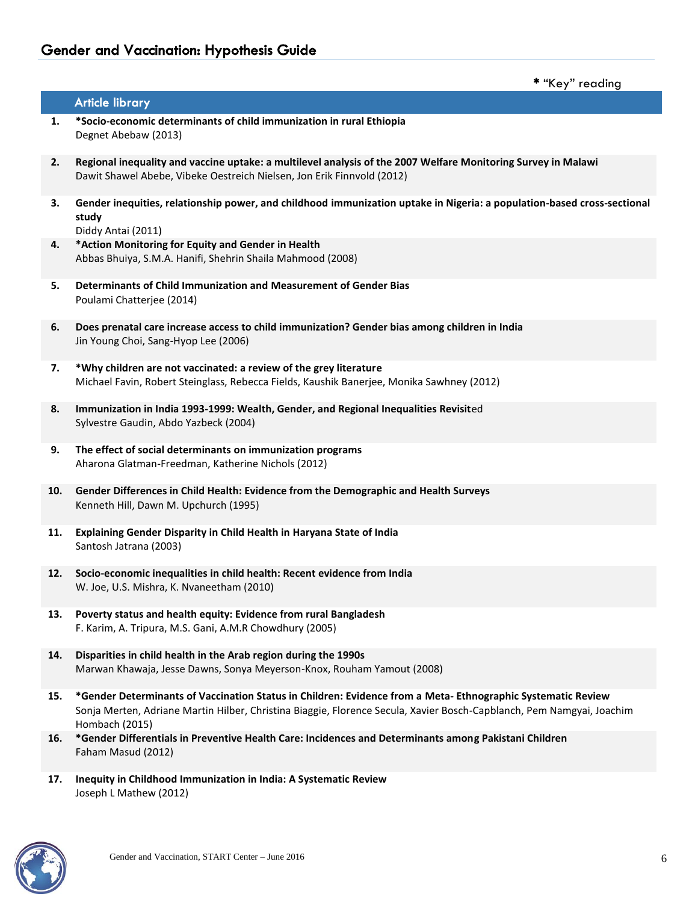Ī

### \* "Key" reading Article library **1. \*Socio-economic determinants of child immunization in rural Ethiopia** Degnet Abebaw (2013) **2. Regional inequality and vaccine uptake: a multilevel analysis of the 2007 Welfare Monitoring Survey in Malawi** Dawit Shawel Abebe, Vibeke Oestreich Nielsen, Jon Erik Finnvold (2012) **3. Gender inequities, relationship power, and childhood immunization uptake in Nigeria: a population-based cross-sectional study** Diddy Antai (2011) **4. \*Action Monitoring for Equity and Gender in Health** Abbas Bhuiya, S.M.A. Hanifi, Shehrin Shaila Mahmood (2008) **5. Determinants of Child Immunization and Measurement of Gender Bias** Poulami Chatterjee (2014) **6. Does prenatal care increase access to child immunization? Gender bias among children in India** Jin Young Choi, Sang-Hyop Lee (2006) **7. \*Why children are not vaccinated: a review of the grey literature** Michael Favin, Robert Steinglass, Rebecca Fields, Kaushik Banerjee, Monika Sawhney (2012) **8. Immunization in India 1993-1999: Wealth, Gender, and Regional Inequalities Revisit**ed Sylvestre Gaudin, Abdo Yazbeck (2004) **9. The effect of social determinants on immunization programs** Aharona Glatman-Freedman, Katherine Nichols (2012) **10. Gender Differences in Child Health: Evidence from the Demographic and Health Surveys** Kenneth Hill, Dawn M. Upchurch (1995) **11. Explaining Gender Disparity in Child Health in Haryana State of India** Santosh Jatrana (2003)

- **12. Socio-economic inequalities in child health: Recent evidence from India** W. Joe, U.S. Mishra, K. Nvaneetham (2010)
- **13. Poverty status and health equity: Evidence from rural Bangladesh** F. Karim, A. Tripura, M.S. Gani, A.M.R Chowdhury (2005)
- **14. Disparities in child health in the Arab region during the 1990s** Marwan Khawaja, Jesse Dawns, Sonya Meyerson-Knox, Rouham Yamout (2008)
- **15. \*Gender Determinants of Vaccination Status in Children: Evidence from a Meta- Ethnographic Systematic Review** Sonja Merten, Adriane Martin Hilber, Christina Biaggie, Florence Secula, Xavier Bosch-Capblanch, Pem Namgyai, Joachim Hombach (2015)
- **16. \*Gender Differentials in Preventive Health Care: Incidences and Determinants among Pakistani Children** Faham Masud (2012)
- **17. Inequity in Childhood Immunization in India: A Systematic Review** Joseph L Mathew (2012)

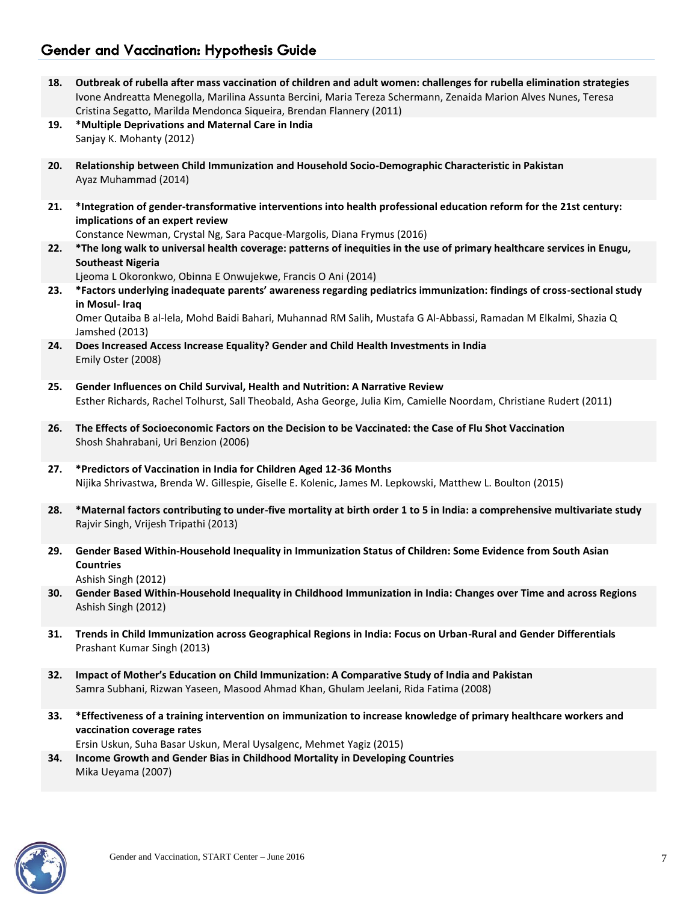Ī **18. Outbreak of rubella after mass vaccination of children and adult women: challenges for rubella elimination strategies** Ivone Andreatta Menegolla, Marilina Assunta Bercini, Maria Tereza Schermann, Zenaida Marion Alves Nunes, Teresa Cristina Segatto, Marilda Mendonca Siqueira, Brendan Flannery (2011) **19. \*Multiple Deprivations and Maternal Care in India** Sanjay K. Mohanty (2012) **20. Relationship between Child Immunization and Household Socio-Demographic Characteristic in Pakistan** Ayaz Muhammad (2014) **21. \*Integration of gender-transformative interventions into health professional education reform for the 21st century: implications of an expert review** Constance Newman, Crystal Ng, Sara Pacque-Margolis, Diana Frymus (2016) **22. \*The long walk to universal health coverage: patterns of inequities in the use of primary healthcare services in Enugu, Southeast Nigeria** Ljeoma L Okoronkwo, Obinna E Onwujekwe, Francis O Ani (2014) **23. \*Factors underlying inadequate parents' awareness regarding pediatrics immunization: findings of cross-sectional study in Mosul- Iraq** Omer Qutaiba B al-lela, Mohd Baidi Bahari, Muhannad RM Salih, Mustafa G Al-Abbassi, Ramadan M Elkalmi, Shazia Q Jamshed (2013) **24. Does Increased Access Increase Equality? Gender and Child Health Investments in India** Emily Oster (2008) **25. Gender Influences on Child Survival, Health and Nutrition: A Narrative Review** Esther Richards, Rachel Tolhurst, Sall Theobald, Asha George, Julia Kim, Camielle Noordam, Christiane Rudert (2011) **26. The Effects of Socioeconomic Factors on the Decision to be Vaccinated: the Case of Flu Shot Vaccination** Shosh Shahrabani, Uri Benzion (2006) **27. \*Predictors of Vaccination in India for Children Aged 12-36 Months** Nijika Shrivastwa, Brenda W. Gillespie, Giselle E. Kolenic, James M. Lepkowski, Matthew L. Boulton (2015) **28. \*Maternal factors contributing to under-five mortality at birth order 1 to 5 in India: a comprehensive multivariate study** Rajvir Singh, Vrijesh Tripathi (2013) **29. Gender Based Within-Household Inequality in Immunization Status of Children: Some Evidence from South Asian Countries** Ashish Singh (2012) **30. Gender Based Within-Household Inequality in Childhood Immunization in India: Changes over Time and across Regions** Ashish Singh (2012) **31. Trends in Child Immunization across Geographical Regions in India: Focus on Urban-Rural and Gender Differentials** Prashant Kumar Singh (2013) **32. Impact of Mother's Education on Child Immunization: A Comparative Study of India and Pakistan** Samra Subhani, Rizwan Yaseen, Masood Ahmad Khan, Ghulam Jeelani, Rida Fatima (2008) **33. \*Effectiveness of a training intervention on immunization to increase knowledge of primary healthcare workers and vaccination coverage rates** Ersin Uskun, Suha Basar Uskun, Meral Uysalgenc, Mehmet Yagiz (2015) **34. Income Growth and Gender Bias in Childhood Mortality in Developing Countries** Mika Ueyama (2007)